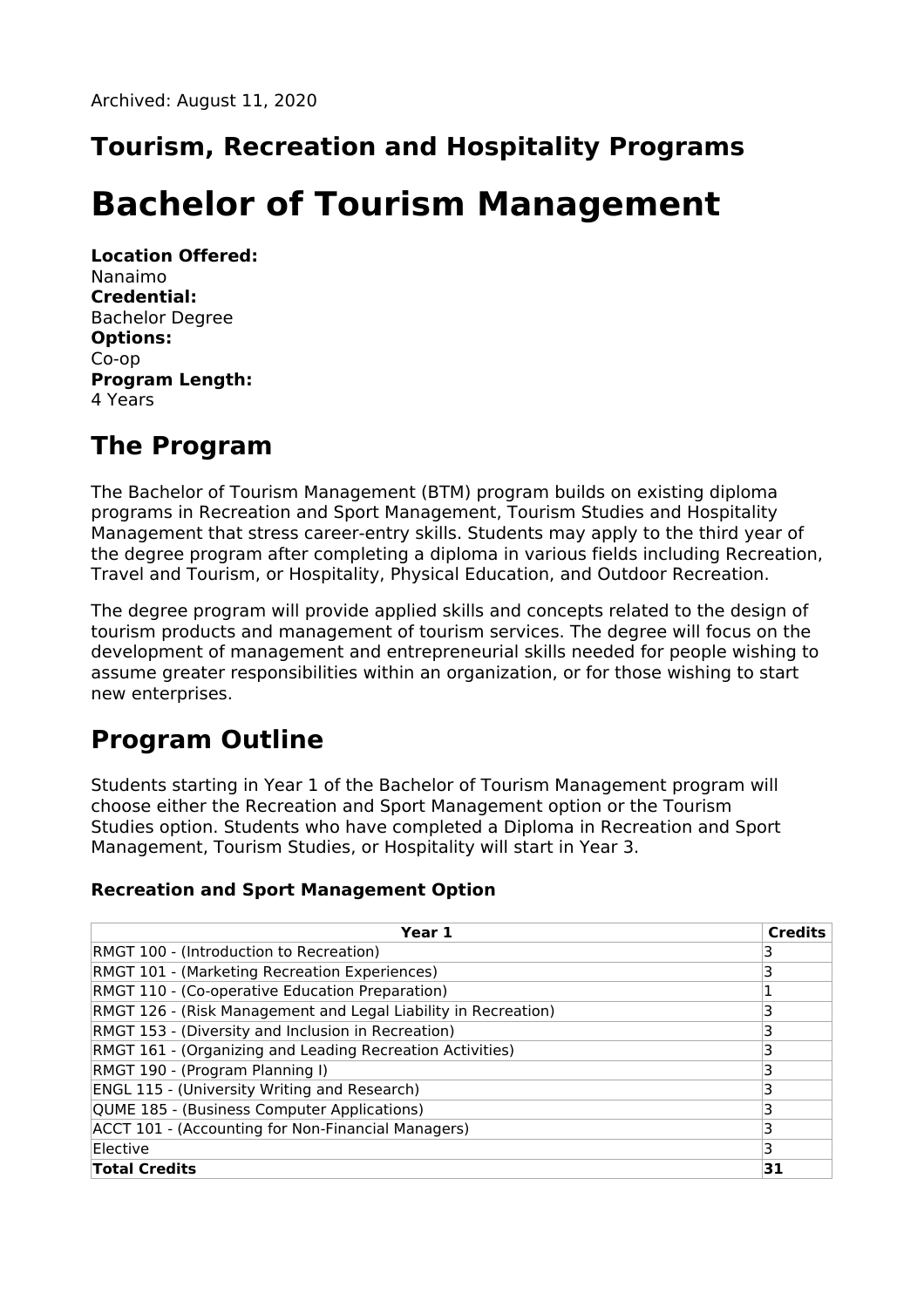# **Tourism, Recreation and Hospitality Programs**

# **Bachelor of Tourism Management**

**Location Offered:** Nanaimo **Credential:** Bachelor Degree **Options:** Co-op **Program Length:** 4 Years

# **The Program**

The Bachelor of Tourism Management (BTM) program builds on existing diploma programs in Recreation and Sport Management, Tourism Studies and Hospitality Management that stress career-entry skills. Students may apply to the third year of the degree program after completing a diploma in various fields including Recreation, Travel and Tourism, or Hospitality, Physical Education, and Outdoor Recreation.

The degree program will provide applied skills and concepts related to the design of tourism products and management of tourism services. The degree will focus on the development of management and entrepreneurial skills needed for people wishing to assume greater responsibilities within an organization, or for those wishing to start new enterprises.

# **Program Outline**

Students starting in Year 1 of the Bachelor of Tourism Management program will choose either the Recreation and Sport Management option or the Tourism Studies option. Students who have completed a Diploma in Recreation and Sport Management, Tourism Studies, or Hospitality will start in Year 3.

### **Recreation and Sport Management Option**

| Year 1                                                         | <b>Credits</b> |
|----------------------------------------------------------------|----------------|
| RMGT 100 - (Introduction to Recreation)                        |                |
| RMGT 101 - (Marketing Recreation Experiences)                  | 3              |
| RMGT 110 - (Co-operative Education Preparation)                |                |
| RMGT 126 - (Risk Management and Legal Liability in Recreation) | 3              |
| RMGT 153 - (Diversity and Inclusion in Recreation)             | 3              |
| RMGT 161 - (Organizing and Leading Recreation Activities)      | 3              |
| RMGT 190 - (Program Planning I)                                | 3              |
| ENGL 115 - (University Writing and Research)                   | 3              |
| QUME 185 - (Business Computer Applications)                    | 3              |
| ACCT 101 - (Accounting for Non-Financial Managers)             | 3              |
| Elective                                                       | 3              |
| <b>Total Credits</b>                                           | 31             |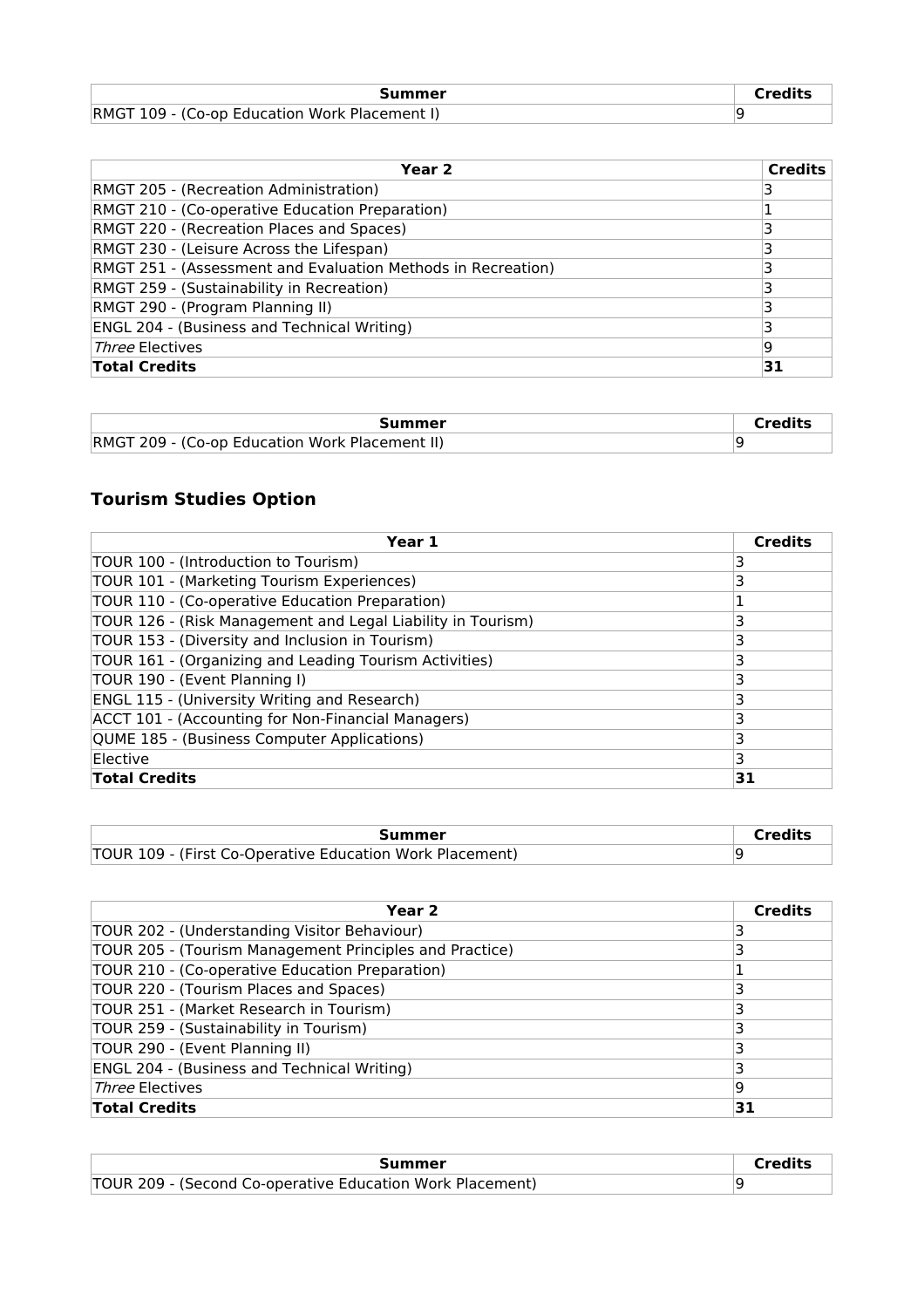| Summer                                        | $\cap$ redits |
|-----------------------------------------------|---------------|
| RMGT 109 - (Co-op Education Work Placement I) |               |

| Year 2                                                       | <b>Credits</b> |
|--------------------------------------------------------------|----------------|
| RMGT 205 - (Recreation Administration)                       |                |
| RMGT 210 - (Co-operative Education Preparation)              |                |
| RMGT 220 - (Recreation Places and Spaces)                    |                |
| RMGT 230 - (Leisure Across the Lifespan)                     |                |
| RMGT 251 - (Assessment and Evaluation Methods in Recreation) |                |
| RMGT 259 - (Sustainability in Recreation)                    |                |
| RMGT 290 - (Program Planning II)                             |                |
| <b>ENGL 204 - (Business and Technical Writing)</b>           |                |
| <i>Three</i> Electives                                       | 9              |
| <b>Total Credits</b>                                         | 31             |

| Summer                                                | $\cap$ redits |
|-------------------------------------------------------|---------------|
| <b>RMGT 209 - (Co-op Education Work Placement II)</b> |               |

### **Tourism Studies Option**

| Year 1                                                      | <b>Credits</b> |
|-------------------------------------------------------------|----------------|
| TOUR 100 - (Introduction to Tourism)                        | 3              |
| TOUR 101 - (Marketing Tourism Experiences)                  | 3              |
| TOUR 110 - (Co-operative Education Preparation)             |                |
| TOUR 126 - (Risk Management and Legal Liability in Tourism) | 3              |
| TOUR 153 - (Diversity and Inclusion in Tourism)             | 3              |
| TOUR 161 - (Organizing and Leading Tourism Activities)      | 3              |
| TOUR 190 - (Event Planning I)                               | 3              |
| <b>ENGL 115 - (University Writing and Research)</b>         | 3              |
| ACCT 101 - (Accounting for Non-Financial Managers)          | 3              |
| QUME 185 - (Business Computer Applications)                 | 3              |
| Elective                                                    | 3              |
| <b>Total Credits</b>                                        | 31             |

| Summer                                                   |  |
|----------------------------------------------------------|--|
| TOUR 109 - (First Co-Operative Education Work Placement) |  |

| Year <sub>2</sub>                                       | <b>Credits</b> |
|---------------------------------------------------------|----------------|
| TOUR 202 - (Understanding Visitor Behaviour)            | 3              |
| TOUR 205 - (Tourism Management Principles and Practice) |                |
| TOUR 210 - (Co-operative Education Preparation)         |                |
| TOUR 220 - (Tourism Places and Spaces)                  | 3              |
| TOUR 251 - (Market Research in Tourism)                 |                |
| TOUR 259 - (Sustainability in Tourism)                  |                |
| TOUR 290 - (Event Planning II)                          |                |
| <b>ENGL 204 - (Business and Technical Writing)</b>      | 3              |
| Three Electives                                         | 9              |
| <b>Total Credits</b>                                    | 31             |

| Summer                                                    |  |
|-----------------------------------------------------------|--|
| TOUR 209 - (Second Co-operative Education Work Placement) |  |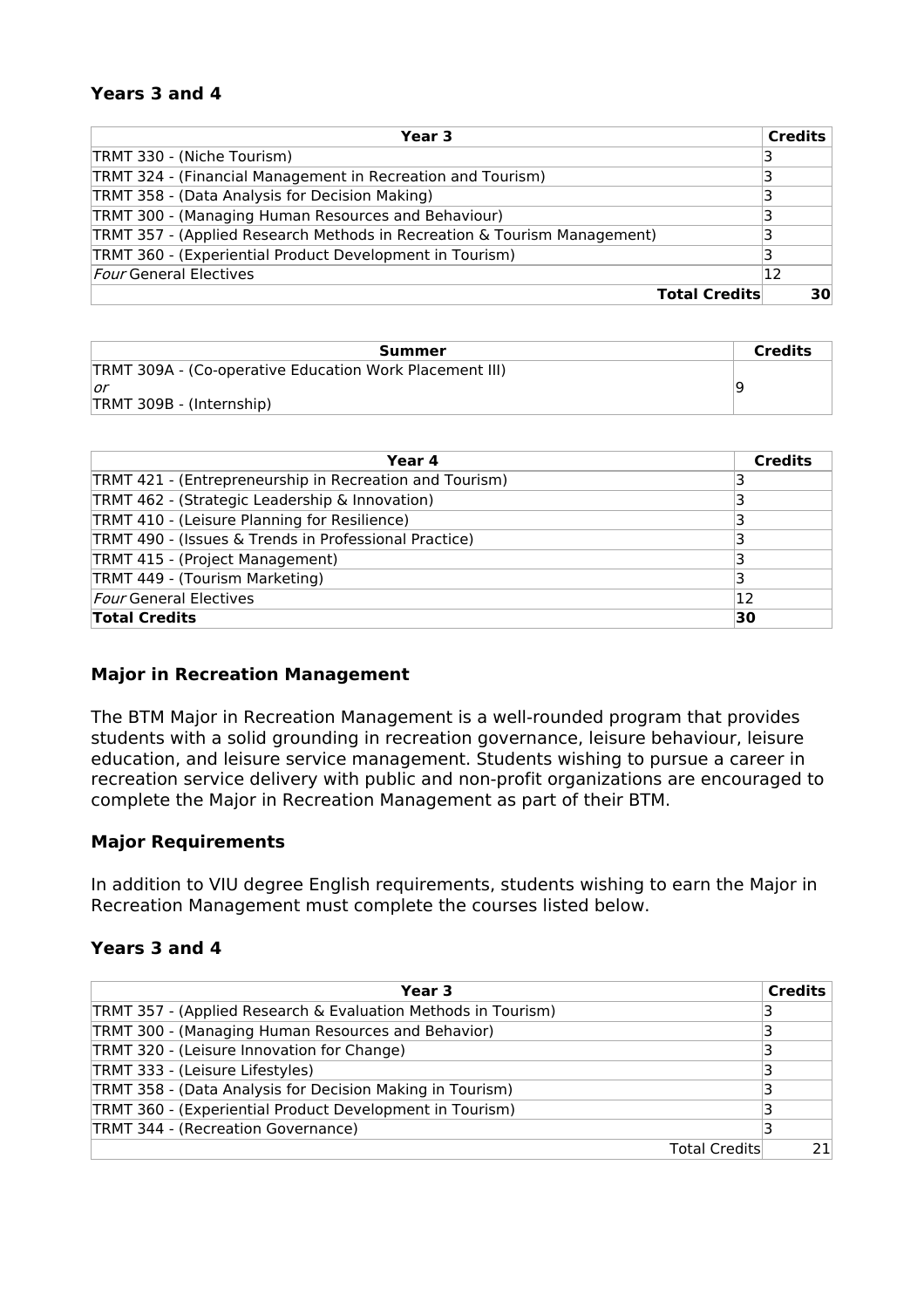#### **Years 3 and 4**

| Year 3                                                                   |                      | <b>Credits</b> |
|--------------------------------------------------------------------------|----------------------|----------------|
| TRMT 330 - (Niche Tourism)                                               |                      | 3              |
| TRMT 324 - (Financial Management in Recreation and Tourism)              |                      |                |
| TRMT 358 - (Data Analysis for Decision Making)                           |                      | 3              |
| TRMT 300 - (Managing Human Resources and Behaviour)                      |                      |                |
| TRMT 357 - (Applied Research Methods in Recreation & Tourism Management) |                      | 3              |
| TRMT 360 - (Experiential Product Development in Tourism)                 |                      |                |
| <i>Four</i> General Electives                                            |                      | 12             |
|                                                                          | <b>Total Credits</b> | 30             |

| Summer                                                  | <b>Credits</b> |
|---------------------------------------------------------|----------------|
| TRMT 309A - (Co-operative Education Work Placement III) |                |
| \or                                                     |                |
| TRMT 309B - (Internship)                                |                |

| Year 4                                                  | <b>Credits</b> |
|---------------------------------------------------------|----------------|
| TRMT 421 - (Entrepreneurship in Recreation and Tourism) |                |
| TRMT 462 - (Strategic Leadership & Innovation)          |                |
| TRMT 410 - (Leisure Planning for Resilience)            |                |
| TRMT 490 - (Issues & Trends in Professional Practice)   |                |
| TRMT 415 - (Project Management)                         |                |
| TRMT 449 - (Tourism Marketing)                          |                |
| <b>Four General Electives</b>                           | 12             |
| <b>Total Credits</b>                                    | 30             |

#### **Major in Recreation Management**

The BTM Major in Recreation Management is a well-rounded program that provides students with a solid grounding in recreation governance, leisure behaviour, leisure education, and leisure service management. Students wishing to pursue a career in recreation service delivery with public and non-profit organizations are encouraged to complete the Major in Recreation Management as part of their BTM.

#### **Major Requirements**

In addition to VIU degree English requirements, students wishing to earn the Major in Recreation Management must complete the courses listed below.

#### **Years 3 and 4**

| Year 3                                                        |                      | <b>Credits</b> |
|---------------------------------------------------------------|----------------------|----------------|
| TRMT 357 - (Applied Research & Evaluation Methods in Tourism) |                      |                |
| TRMT 300 - (Managing Human Resources and Behavior)            |                      | 3              |
| TRMT 320 - (Leisure Innovation for Change)                    |                      | 3              |
| TRMT 333 - (Leisure Lifestyles)                               |                      | 3              |
| TRMT 358 - (Data Analysis for Decision Making in Tourism)     |                      | 3              |
| TRMT 360 - (Experiential Product Development in Tourism)      |                      |                |
| TRMT 344 - (Recreation Governance)                            |                      |                |
|                                                               | <b>Total Credits</b> | 21             |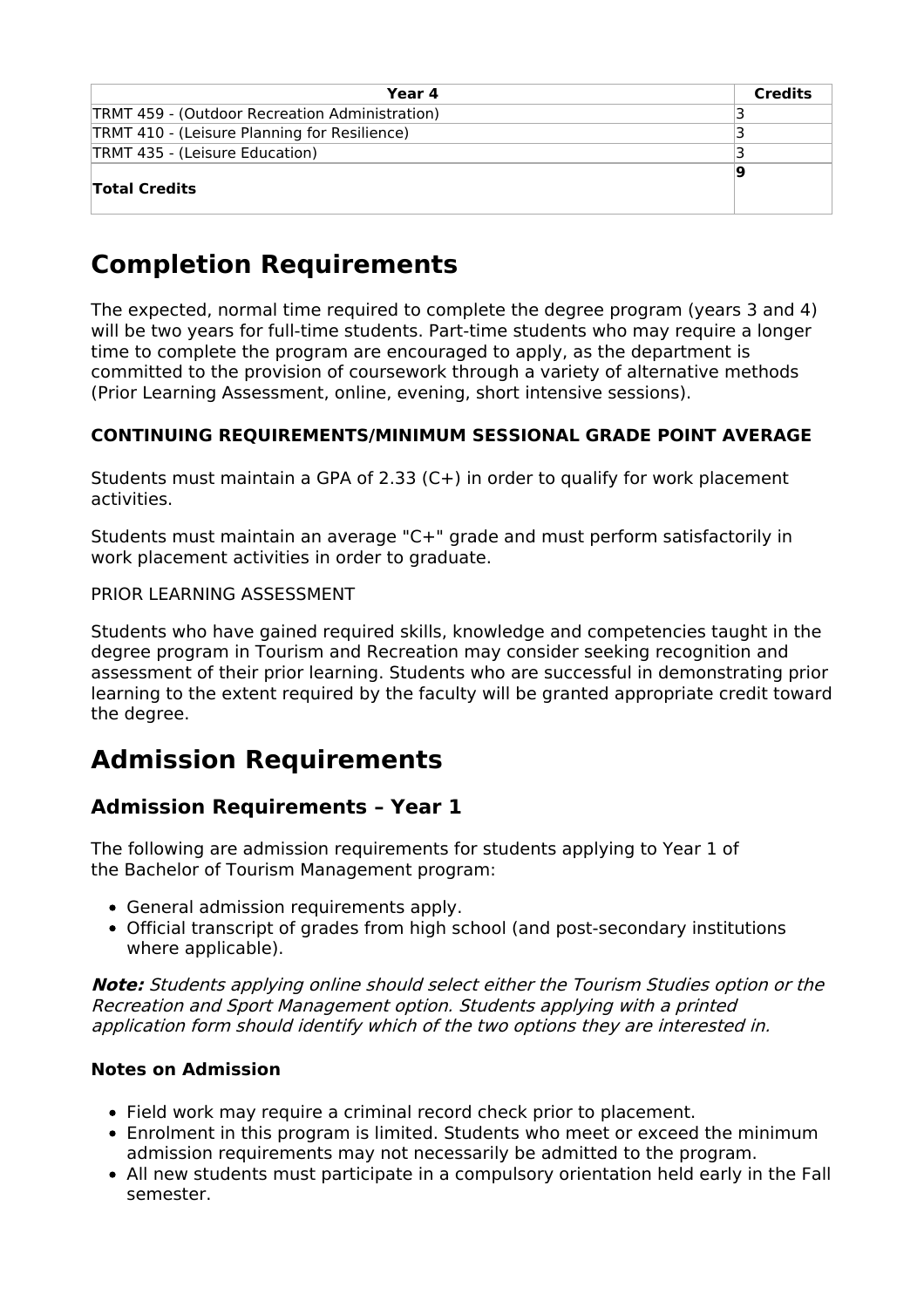| Year 4                                         | <b>Credits</b> |
|------------------------------------------------|----------------|
| TRMT 459 - (Outdoor Recreation Administration) |                |
| TRMT 410 - (Leisure Planning for Resilience)   |                |
| TRMT 435 - (Leisure Education)                 |                |
| <b>Total Credits</b>                           |                |

# **Completion Requirements**

The expected, normal time required to complete the degree program (years 3 and 4) will be two years for full-time students. Part-time students who may require a longer time to complete the program are encouraged to apply, as the department is committed to the provision of coursework through a variety of alternative methods (Prior Learning Assessment, online, evening, short intensive sessions).

### **CONTINUING REQUIREMENTS/MINIMUM SESSIONAL GRADE POINT AVERAGE**

Students must maintain a GPA of 2.33 (C+) in order to qualify for work placement activities.

Students must maintain an average "C+" grade and must perform satisfactorily in work placement activities in order to graduate.

#### PRIOR LEARNING ASSESSMENT

Students who have gained required skills, knowledge and competencies taught in the degree program in Tourism and Recreation may consider seeking recognition and assessment of their prior learning. Students who are successful in demonstrating prior learning to the extent required by the faculty will be granted appropriate credit toward the degree.

### **Admission Requirements**

### **Admission Requirements – Year 1**

The following are admission requirements for students applying to Year 1 of the Bachelor of Tourism Management program:

- General admission requirements apply.
- Official transcript of grades from high school (and post-secondary institutions where applicable).

**Note:** Students applying online should select either the Tourism Studies option or the Recreation and Sport Management option. Students applying with <sup>a</sup> printed application form should identify which of the two options they are interested in.

#### **Notes on Admission**

- Field work may require a criminal record check prior to placement.
- Enrolment in this program is limited. Students who meet or exceed the minimum admission requirements may not necessarily be admitted to the program.
- All new students must participate in a compulsory orientation held early in the Fall semester.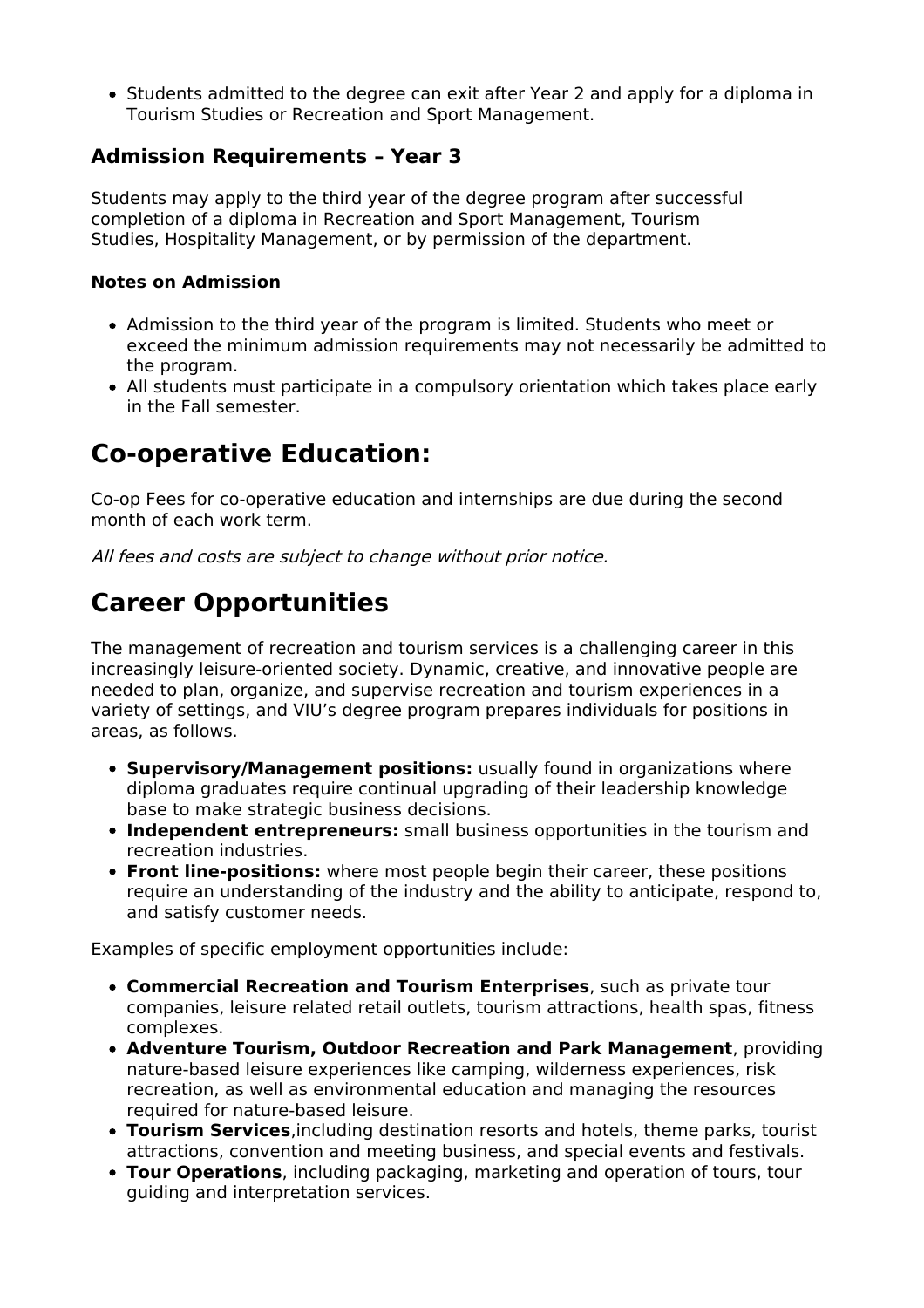Students admitted to the degree can exit after Year 2 and apply for a diploma in Tourism Studies or Recreation and Sport Management.

### **Admission Requirements – Year 3**

Students may apply to the third year of the degree program after successful completion of a diploma in Recreation and Sport Management, Tourism Studies, Hospitality Management, or by permission of the department.

#### **Notes on Admission**

- Admission to the third year of the program is limited. Students who meet or exceed the minimum admission requirements may not necessarily be admitted to the program.
- All students must participate in a compulsory orientation which takes place early in the Fall semester.

### **Co-operative Education:**

Co-op Fees for co-operative education and internships are due during the second month of each work term.

All fees and costs are subject to change without prior notice.

# **Career Opportunities**

The management of recreation and tourism services is a challenging career in this increasingly leisure-oriented society. Dynamic, creative, and innovative people are needed to plan, organize, and supervise recreation and tourism experiences in a variety of settings, and VIU's degree program prepares individuals for positions in areas, as follows.

- **Supervisory/Management positions:** usually found in organizations where diploma graduates require continual upgrading of their leadership knowledge base to make strategic business decisions.
- **Independent entrepreneurs:** small business opportunities in the tourism and recreation industries.
- **Front line-positions:** where most people begin their career, these positions require an understanding of the industry and the ability to anticipate, respond to, and satisfy customer needs.

Examples of specific employment opportunities include:

- **Commercial Recreation and Tourism Enterprises**, such as private tour companies, leisure related retail outlets, tourism attractions, health spas, fitness complexes.
- **Adventure Tourism, Outdoor Recreation and Park Management**, providing nature-based leisure experiences like camping, wilderness experiences, risk recreation, as well as environmental education and managing the resources required for nature-based leisure.
- **Tourism Services**,including destination resorts and hotels, theme parks, tourist attractions, convention and meeting business, and special events and festivals.
- **Tour Operations**, including packaging, marketing and operation of tours, tour guiding and interpretation services.